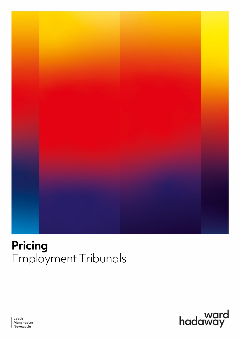

# **Pricing** Employment Tribunals



Leeds Manchester<br>Newcastle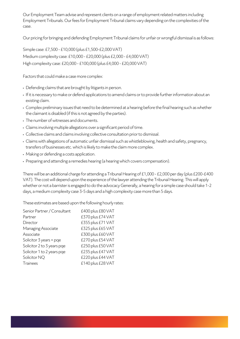Our Employment Team advise and represent clients on a range of employment related matters including Employment Tribunals. Our fees for Employment Tribunal claims vary depending on the complexities of the case.

Our pricing for bringing and defending Employment Tribunal claims for unfair or wrongful dismissal is as follows:

Simple case: £7,500 -£10,000 (plus £1,500-£2,000 VAT) Medium complexity case: £10,000 -£20,000 (plus £2,000-£4,000VAT) High complexity case: £20,000 -£100,000 (plus £4,000 -£20,000VAT)

Factors that could make a case more complex:

- Defending claims that are brought by litigants in person.
- If it is necessary to make or defend applications to amend claims or to provide further information about an existing claim.
- Complex preliminary issues that need to be determined at a hearing before the final hearing such as whether the claimant is disabled (if this is not agreed by the parties).
- The number of witnesses and documents.
- Claims involving multiple allegations over a significant period of time.
- Collective claims and claims involving collective consultation prior to dismissal.
- Claims with allegations of automatic unfair dismissal such as whistleblowing, health and safety, pregnancy, transfers of businesses etc. which is likely to make the claim more complex.
- Making or defending a costs application.
- Preparing and attending a remedies hearing (a hearing which covers compensation).

There will be an additional charge for attending a Tribunal Hearing of £1,000 -£2,000 per day (plus £200-£400 VAT). The cost will depend upon the experience of the lawyer attending the Tribunal Hearing. This will apply whether or not a barrister is engaged to do the advocacy Generally, a hearing for a simple case should take 1-2 days, a medium complexity case 3-5 days and a high complexity case more than 5 days.

These estimates are based upon the following hourly rates:

| Senior Partner / Consultant | £400 plus £80 VAT |
|-----------------------------|-------------------|
| Partner                     | £370 plus £74 VAT |
| Director                    | £355 plus £71 VAT |
| Managing Associate          | £325 plus £65 VAT |
| Associate                   | £300 plus £60 VAT |
| Solicitor 3 years + pqe     | £270 plus £54 VAT |
| Solicitor 2 to 3 years pge  | £250 plus £50 VAT |
| Solicitor 1 to 2 years pge  | £235 plus £47 VAT |
| Solicitor NQ                | £220 plus £44 VAT |
| <b>Trainees</b>             | £140 plus £28 VAT |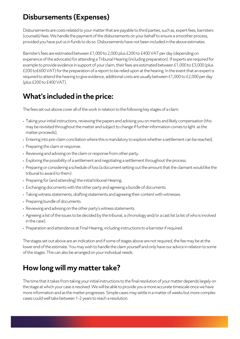#### **Disbursements (Expenses)**

Disbursements are costs related to your matter that are payable to third parties, such as, expert fees, barristers (counsels) fees. We handle the payment of the disbursements on your behalf to ensure a smoother process, provided you have put us in funds to do so. Disbursements have not beenincluded in the above estimates.

Barrister's fees are estimated between £1,000 to 2,000 plus £200 to £400 VAT per day(depending on experience of the advocate) for attending a Tribunal Hearing (including preparation). If experts are required for example to provide evidence in support of your claim, their fees are estimated between £1,000 to £3,000 (plus £200 to£600 VAT)for the preparation of a report to be relied upon at the hearing. In the event that an expert is required to attend the hearing to give evidence, additional costs are usually between £1,000 to £2,000 per day (plus £200 to £400 VAT).

### **What's included in the price:**

The fees set out above cover all of the work in relation to the following key stages of aclaim:

- Taking your initial instructions, reviewing the papers and advising you on merits and likely compensation (this may be revisited throughout the matter and subject to change if further information comes to light as the matter proceeds);
- Entering into pre-claim conciliation where this is mandatory to explore whether a settlement can be reached;
- Preparing the claim or response.
- Reviewing and advising on the claim or response from other party.
- Exploring the possibility of a settlement and negotiating a settlement throughout the process.
- Preparing or considering a schedule of loss (a document setting out the amount that the claimant would like the tribunal to award to them).
- Preparing for (and attending) the initial tribunal Hearing.
- Exchanging documents with the other party and agreeing a bundle of documents.
- Taking witness statements, drafting statements and agreeing their content with witnesses.
- Preparing bundle of documents.
- Reviewing and advising on the other party's witness statements.
- Agreeing alist of the issues to be decided by the tribunal, a chronology and/or a cast list (a list of who is involved in the case).
- Preparation and attendance at Final Hearing, including instructions to a barrister if required.

The stages set out above are an indication and if some of stages above are not required, the fee may be at the lower end of the estimate. You may wish to handle the claim yourself and only have our advice in relation to some of the stages. This can also be arranged on your individual needs.

## **How long will my matter take?**

The time that it takes from taking your initial instructions to the final resolution of your matter depends largely on the stage at which your case is resolved. We will be able to provide you a more accurate timescale once wehave more information and as the matter progresses. Simple cases may settle in a matter of weeks but more complex cases could well take between 1-2 years to reach a resolution.